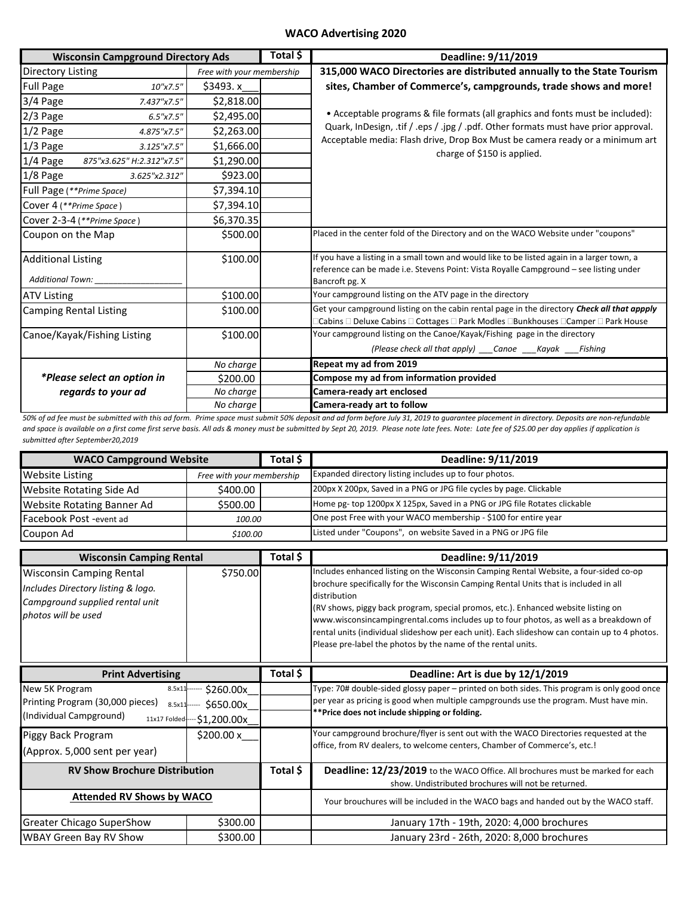## **WACO Advertising 2020**

| <b>Wisconsin Campground Directory Ads</b> |                           | Total \$ | Deadline: 9/11/2019                                                                                                                                                                     |
|-------------------------------------------|---------------------------|----------|-----------------------------------------------------------------------------------------------------------------------------------------------------------------------------------------|
| <b>Directory Listing</b>                  | Free with your membership |          | 315,000 WACO Directories are distributed annually to the State Tourism                                                                                                                  |
| <b>Full Page</b><br>10"x7.5"              | \$3493.x                  |          | sites, Chamber of Commerce's, campgrounds, trade shows and more!                                                                                                                        |
| 3/4 Page<br>7.437"x7.5"                   | \$2,818.00                |          |                                                                                                                                                                                         |
| 2/3 Page<br>6.5''x7.5''                   | \$2,495.00                |          | • Acceptable programs & file formats (all graphics and fonts must be included):                                                                                                         |
| 1/2 Page<br>4.875"x7.5"                   | \$2,263.00                |          | Quark, InDesign, .tif / .eps / .jpg / .pdf. Other formats must have prior approval.                                                                                                     |
| $1/3$ Page<br>3.125"x7.5"                 | \$1,666.00                |          | Acceptable media: Flash drive, Drop Box Must be camera ready or a minimum art                                                                                                           |
| 1/4 Page<br>875"x3.625" H:2.312"x7.5"     | \$1,290.00                |          | charge of \$150 is applied.                                                                                                                                                             |
| $1/8$ Page<br>3.625"x2.312"               | \$923.00                  |          |                                                                                                                                                                                         |
| Full Page (**Prime Space)                 | \$7,394.10                |          |                                                                                                                                                                                         |
| Cover 4 (**Prime Space)                   | \$7,394.10                |          |                                                                                                                                                                                         |
| Cover 2-3-4 (**Prime Space)               | \$6,370.35                |          |                                                                                                                                                                                         |
| Coupon on the Map                         | \$500.00                  |          | Placed in the center fold of the Directory and on the WACO Website under "coupons"                                                                                                      |
| <b>Additional Listing</b>                 | \$100.00                  |          | If you have a listing in a small town and would like to be listed again in a larger town, a                                                                                             |
| Additional Town:                          |                           |          | reference can be made i.e. Stevens Point: Vista Royalle Campground - see listing under<br>Bancroft pg. X                                                                                |
| <b>ATV Listing</b>                        | \$100.00                  |          | Your campground listing on the ATV page in the directory                                                                                                                                |
| <b>Camping Rental Listing</b>             | \$100.00                  |          | Get your campground listing on the cabin rental page in the directory <b>Check all that appply</b><br>ICabins □ Deluxe Cabins □ Cottages □ Park Modles □Bunkhouses □Camper □ Park House |
| Canoe/Kayak/Fishing Listing               | \$100.00                  |          | Your campground listing on the Canoe/Kayak/Fishing page in the directory                                                                                                                |
|                                           |                           |          | (Please check all that apply) ___Canoe ___Kayak ___Fishing                                                                                                                              |
|                                           | No charge                 |          | Repeat my ad from 2019                                                                                                                                                                  |
| *Please select an option in               | \$200.00                  |          | Compose my ad from information provided                                                                                                                                                 |
| regards to your ad                        | No charge                 |          | Camera-ready art enclosed                                                                                                                                                               |
|                                           | No charge                 |          | <b>Camera-ready art to follow</b>                                                                                                                                                       |

*50% of ad fee must be submitted with this ad form. Prime space must submit 50% deposit and ad form before July 31, 2019 to guarantee placement in directory. Deposits are non-refundable and space is available on a first come first serve basis. All ads & money must be submitted by Sept 20, 2019. Please note late fees. Note: Late fee of \$25.00 per day applies if application is submitted after September20,2019*

| <b>WACO Campground Website</b>    | Total \$                  |  | Deadline: 9/11/2019                                                       |
|-----------------------------------|---------------------------|--|---------------------------------------------------------------------------|
| <b>Website Listing</b>            | Free with your membership |  | Expanded directory listing includes up to four photos.                    |
| <b>Website Rotating Side Ad</b>   | \$400.00                  |  | 200px X 200px, Saved in a PNG or JPG file cycles by page. Clickable       |
| <b>Website Rotating Banner Ad</b> | \$500.00                  |  | Home pg- top 1200px X 125px, Saved in a PNG or JPG file Rotates clickable |
| Facebook Post -event ad           | 100.00                    |  | One post Free with your WACO membership - \$100 for entire year           |
| Coupon Ad                         | \$100.00                  |  | Listed under "Coupons", on website Saved in a PNG or JPG file             |

| <b>Wisconsin Camping Rental</b>                                                                                                 |                                      | Total \$ | Deadline: 9/11/2019                                                                                                                                                                                                                                                                                                                                                                                                                                                                                                                          |
|---------------------------------------------------------------------------------------------------------------------------------|--------------------------------------|----------|----------------------------------------------------------------------------------------------------------------------------------------------------------------------------------------------------------------------------------------------------------------------------------------------------------------------------------------------------------------------------------------------------------------------------------------------------------------------------------------------------------------------------------------------|
| <b>Wisconsin Camping Rental</b><br>Includes Directory listing & logo.<br>Campground supplied rental unit<br>photos will be used | \$750.00                             |          | Includes enhanced listing on the Wisconsin Camping Rental Website, a four-sided co-op<br>brochure specifically for the Wisconsin Camping Rental Units that is included in all<br>distribution<br>(RV shows, piggy back program, special promos, etc.). Enhanced website listing on<br>www.wisconsincampingrental.coms includes up to four photos, as well as a breakdown of<br>rental units (individual slideshow per each unit). Each slideshow can contain up to 4 photos.<br>Please pre-label the photos by the name of the rental units. |
| <b>Print Advertising</b>                                                                                                        |                                      | Total \$ | Deadline: Art is due by 12/1/2019                                                                                                                                                                                                                                                                                                                                                                                                                                                                                                            |
| New 5K Program<br>8.5x11<br>Printing Program (30,000 pieces)<br>8.5x11<br>(Individual Campground)<br>11x17 Folded-              | \$260.00x<br>\$650.00x<br>51,200.00x |          | Type: 70# double-sided glossy paper - printed on both sides. This program is only good once<br>per year as pricing is good when multiple campgrounds use the program. Must have min.<br>**Price does not include shipping or folding.                                                                                                                                                                                                                                                                                                        |
| Piggy Back Program<br>(Approx. 5,000 sent per year)                                                                             | \$200.00 x                           |          | Your campground brochure/flyer is sent out with the WACO Directories requested at the<br>office, from RV dealers, to welcome centers, Chamber of Commerce's, etc.!                                                                                                                                                                                                                                                                                                                                                                           |
| <b>RV Show Brochure Distribution</b>                                                                                            |                                      | Total \$ | <b>Deadline: 12/23/2019</b> to the WACO Office. All brochures must be marked for each<br>show. Undistributed brochures will not be returned.                                                                                                                                                                                                                                                                                                                                                                                                 |
| <b>Attended RV Shows by WACO</b>                                                                                                |                                      |          | Your brouchures will be included in the WACO bags and handed out by the WACO staff.                                                                                                                                                                                                                                                                                                                                                                                                                                                          |
| <b>Greater Chicago SuperShow</b>                                                                                                | \$300.00                             |          | January 17th - 19th, 2020: 4,000 brochures                                                                                                                                                                                                                                                                                                                                                                                                                                                                                                   |
| <b>WBAY Green Bay RV Show</b>                                                                                                   | \$300.00                             |          | January 23rd - 26th, 2020: 8,000 brochures                                                                                                                                                                                                                                                                                                                                                                                                                                                                                                   |